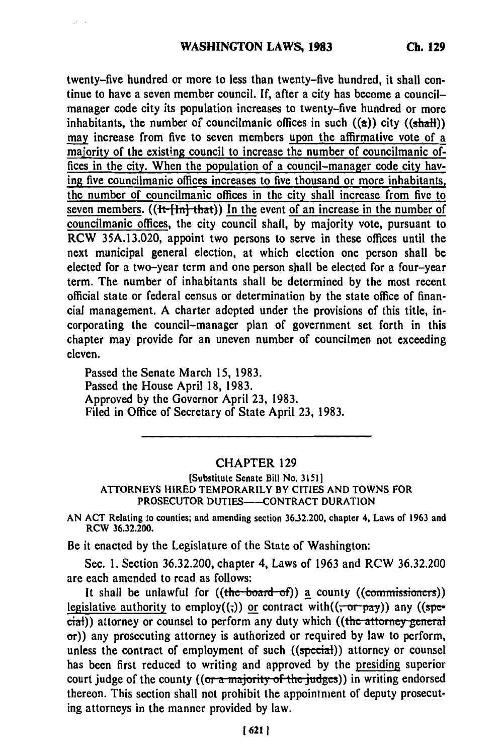twenty-five hundred or more to less than twenty-five hundred, it shall continue to have a seven member council. **If,** after a city has become a councilmanager code city its population increases to twenty-five hundred or more inhabitants, the number of councilmanic offices in such  $((a))$  city  $((shath))$ may increase from five to seven members upon the affirmative vote of a majority of the existing council to increase the number of councilmanic offices in the city. When the population of a council-manager code city having five councilmanic offices increases to five thousand or more inhabitants, the number of councilmanic offices in the city shall increase from five to seven members. **((It [In] that))** In the event of an increase in the number of councilmanic offices, the city council shall, **by** majority vote, pursuant to RCW **35A.13.020,** appoint two persons to serve in these offices until the next municipal general election, at which election one person shall be elected for a two-year term and one person shall be elected for a four-year term. The number of inhabitants shall be determined **by** the most recent official state or federal census or determination **by** the state office of financial management. A charter adopted under the provisions of this title, incorporating the council-manager plan of government set forth in this chapter may provide for an uneven number of councilmen not exceeding eleven.

Passed the Senate March 15, **1983.** Passed the House April **18, 1983.** Approved **by** the Governor April **23, 1983.** Filed in Office of Secretary of State April **23, 1983.**

## CHAPTER **129**

[Substitute Senate Bill No. **31511** ATTORNEYS HIRED TEMPORARILY BY **CITIES AND TOWNS** FOR PROSECUTOR **DUTIES--CONTRACT** DURATION

**AN ACT** Relating to counties; and amending section **36.32.200,** chapter **4,** Laws of **1963** and RCW **36.32.200.**

Be it enacted **by** the Legislature of the State of Washington:

Sec. **1.** Section **36.32.200,** chapter 4, Laws of **1963** and RCW **36.32.200** are each amended to read as follows:

It shall be unlawful for  $((the *board-of*))$  a county  $((commissioners))$ legislative authority to employ((;)) or contract with( $(\overline{x}, \overline{p}, \overline{p}a\overline{y})$ ) any ((special)) attorney or counsel to perform any duty which ((the attorney general  $\sigma$ )) any prosecuting attorney is authorized or required by law to perform, unless the contract of employment of such ((special)) attorney or counsel has been first reduced to writing and approved by the presiding superior court judge of the county ((or a majority of the judges)) in writing endorsed thereon. This section shall not prohibit the appointment of deputy prosecuting attorneys in the manner provided by law.